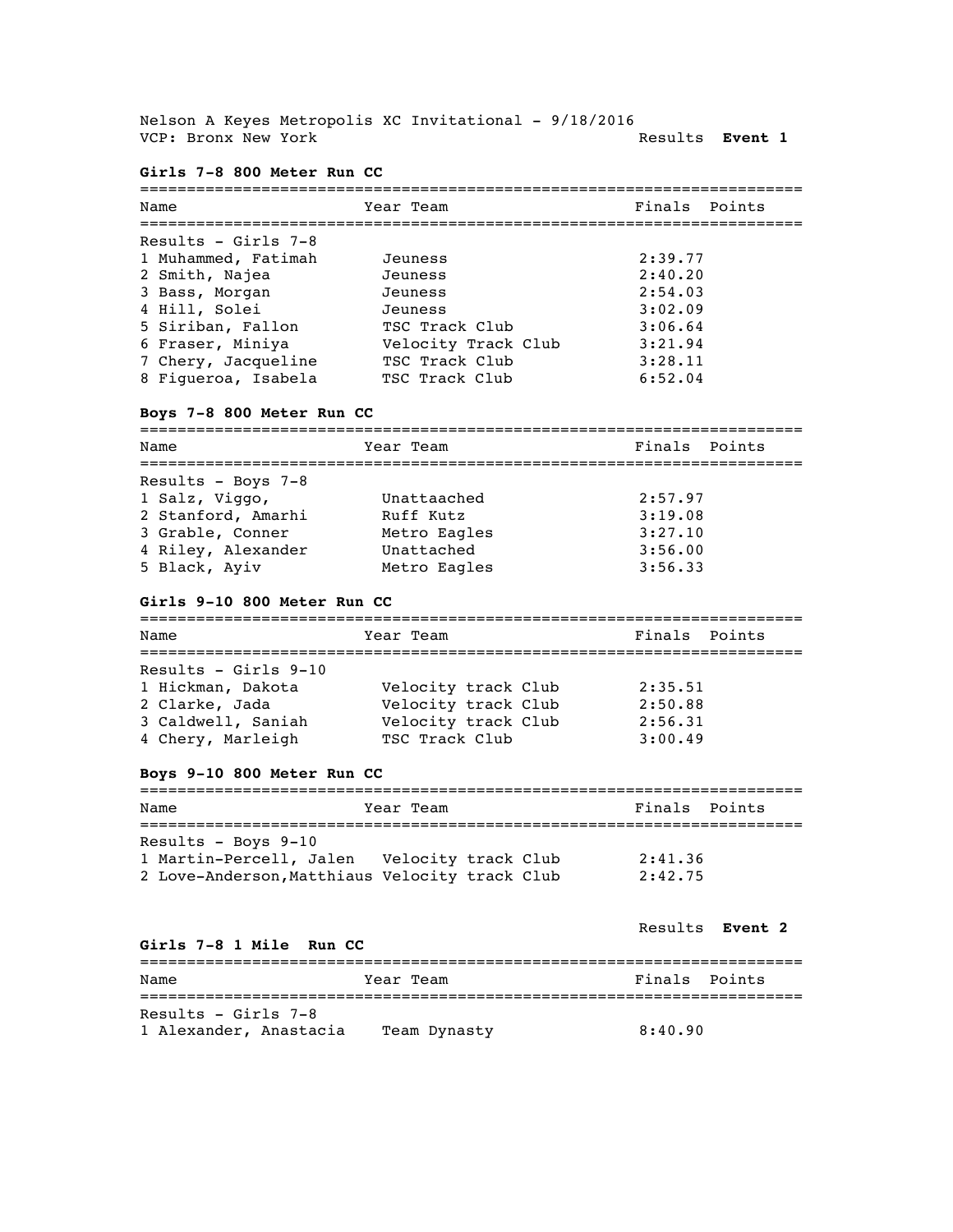Nelson A Keyes Metropolis XC Invitational - 9/18/2016 VCP: Bronx New York **Results Event 1** 

### **Girls 7-8 800 Meter Run CC**

| Year Team                                                                                                                                                                                      | Finals Points |
|------------------------------------------------------------------------------------------------------------------------------------------------------------------------------------------------|---------------|
|                                                                                                                                                                                                |               |
| Jeuness                                                                                                                                                                                        | 2:39.77       |
| Jeuness                                                                                                                                                                                        | 2:40.20       |
| Jeuness                                                                                                                                                                                        | 2:54.03       |
| Jeuness                                                                                                                                                                                        | 3:02.09       |
| TSC Track Club                                                                                                                                                                                 | 3:06.64       |
| Velocity Track Club                                                                                                                                                                            | 3:21.94       |
| TSC Track Club                                                                                                                                                                                 | 3:28.11       |
| TSC Track Club                                                                                                                                                                                 | 6:52.04       |
| Name<br>Results - Girls 7-8<br>1 Muhammed, Fatimah<br>2 Smith, Najea<br>3 Bass, Morgan<br>4 Hill, Solei<br>5 Siriban, Fallon<br>6 Fraser, Miniya<br>7 Chery, Jacqueline<br>8 Figueroa, Isabela |               |

## **Boys 7-8 800 Meter Run CC**

| Name               | Year Team    | Finals Points |
|--------------------|--------------|---------------|
| Results - Boys 7-8 |              |               |
| 1 Salz, Viggo,     | Unattaached  | 2:57.97       |
| 2 Stanford, Amarhi | Ruff Kutz    | 3:19.08       |
| 3 Grable, Conner   | Metro Eagles | 3:27.10       |
| 4 Riley, Alexander | Unattached   | 3:56.00       |
| 5 Black, Ayiv      | Metro Eagles | 3:56.33       |

### **Girls 9-10 800 Meter Run CC**

| Name                   | Year Team           | Finals Points |
|------------------------|---------------------|---------------|
|                        |                     |               |
| Results - Girls $9-10$ |                     |               |
| 1 Hickman, Dakota      | Velocity track Club | 2:35.51       |
| 2 Clarke, Jada         | Velocity track Club | 2:50.88       |
| 3 Caldwell, Saniah     | Velocity track Club | 2:56.31       |
| 4 Chery, Marleigh      | TSC Track Club      | 3:00.49       |

## **Boys 9-10 800 Meter Run CC**

| Name                                           | Year Team | Finals Points |  |  |
|------------------------------------------------|-----------|---------------|--|--|
|                                                |           |               |  |  |
| Results - Boys $9-10$                          |           |               |  |  |
| 1 Martin-Percell, Jalen Velocity track Club    |           | 2:41.36       |  |  |
| 2 Love-Anderson, Matthiaus Velocity track Club |           | 2:42.75       |  |  |

#### **Girls 7-8 1 Mile Run CC**

#### Results **Event 2**

| Name                   | Year Team    | Finals Points |
|------------------------|--------------|---------------|
| Results - Girls $7-8$  |              |               |
| 1 Alexander, Anastacia | Team Dynasty | 8:40.90       |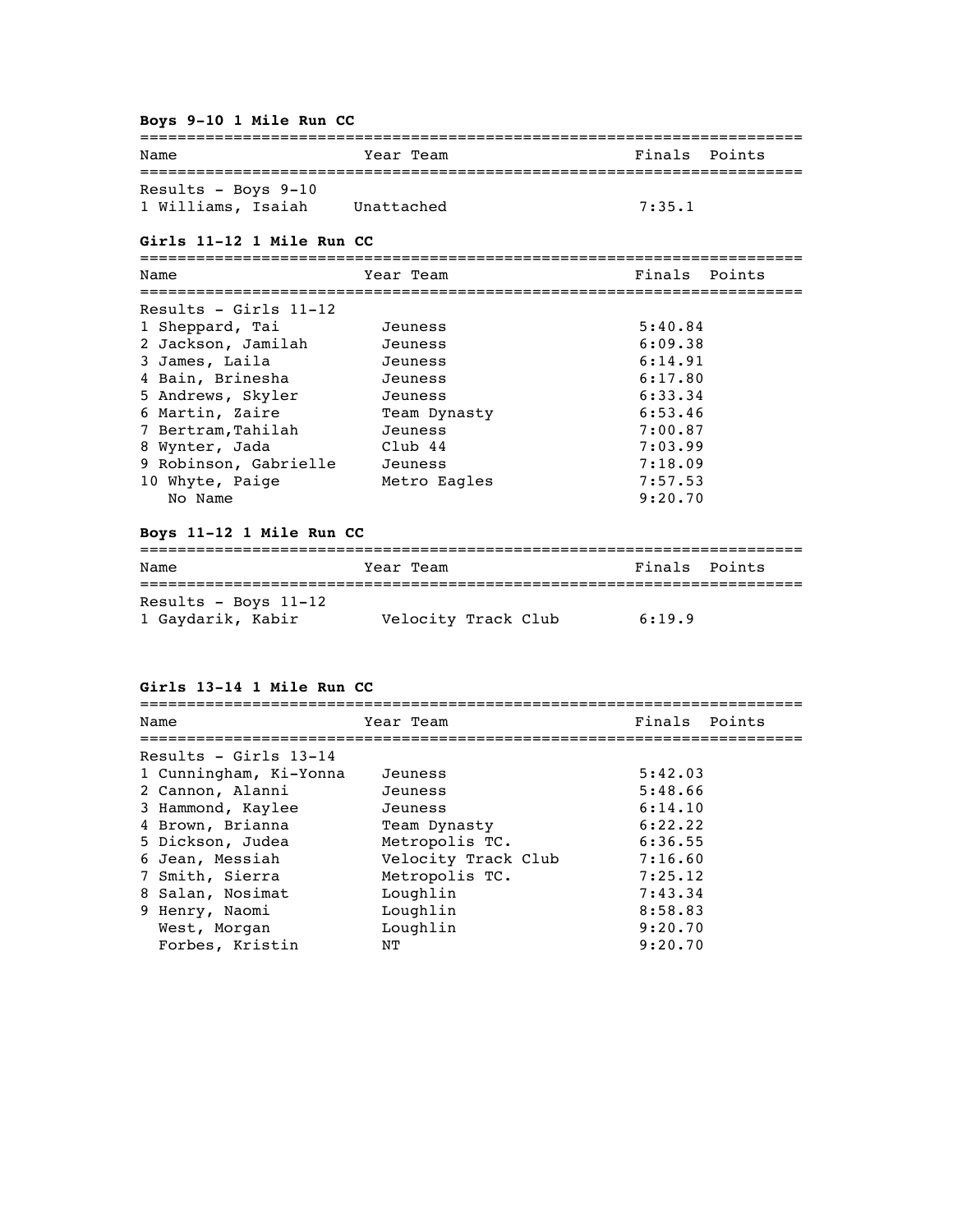#### **Boys 9-10 1 Mile Run CC**

| Name                  | Year Team  | Finals Points |  |
|-----------------------|------------|---------------|--|
|                       |            |               |  |
| Results - Boys $9-10$ |            |               |  |
| 1 Williams, Isaiah    | Unattached | 7:35.1        |  |

#### **Girls 11-12 1 Mile Run CC**

======================================================================= Name Team Team Finals Points ======================================================================= Results - Girls 11-12 1 Sheppard, Tai Jeuness 5:40.84 2 Jackson, Jamilah Jeuness (199.38 3 James, Laila Jeuness 6:14.91 4 Bain, Brinesha Jeuness 6:17.80 5 Andrews, Skyler Jeuness 6:33.34 6 Martin, Zaire Team Dynasty 6:53.46 7 Bertram,Tahilah Jeuness 7:00.87 8 Wynter, Jada Club 44 7:03.99 9 Robinson, Gabrielle Jeuness 7:18.09 10 Whyte, Paige **Metro Eagles** 7:57.53 No Name 9:20.70

#### **Boys 11-12 1 Mile Run CC**

| Name                 | Year Team           | Finals Points |
|----------------------|---------------------|---------------|
|                      |                     |               |
| Results - Boys 11-12 |                     |               |
| 1 Gaydarik, Kabir    | Velocity Track Club | 6:19.9        |

**Girls 13-14 1 Mile Run CC**

| Name                    | Year Team           | Finals Points |
|-------------------------|---------------------|---------------|
|                         |                     |               |
| Results - Girls $13-14$ |                     |               |
| 1 Cunningham, Ki-Yonna  | Jeuness             | 5:42.03       |
| 2 Cannon, Alanni        | Jeuness             | 5:48.66       |
| 3 Hammond, Kaylee       | Jeuness             | 6:14.10       |
| 4 Brown, Brianna        | Team Dynasty        | 6:22.22       |
| 5 Dickson, Judea        | Metropolis TC.      | 6:36.55       |
| 6 Jean, Messiah         | Velocity Track Club | 7:16.60       |
| 7 Smith, Sierra         | Metropolis TC.      | 7:25.12       |
| 8 Salan, Nosimat        | Loughlin            | 7:43.34       |
| 9 Henry, Naomi          | Loughlin            | 8:58.83       |
| West, Morgan            | Loughlin            | 9:20.70       |
| Forbes, Kristin         | NΤ                  | 9:20.70       |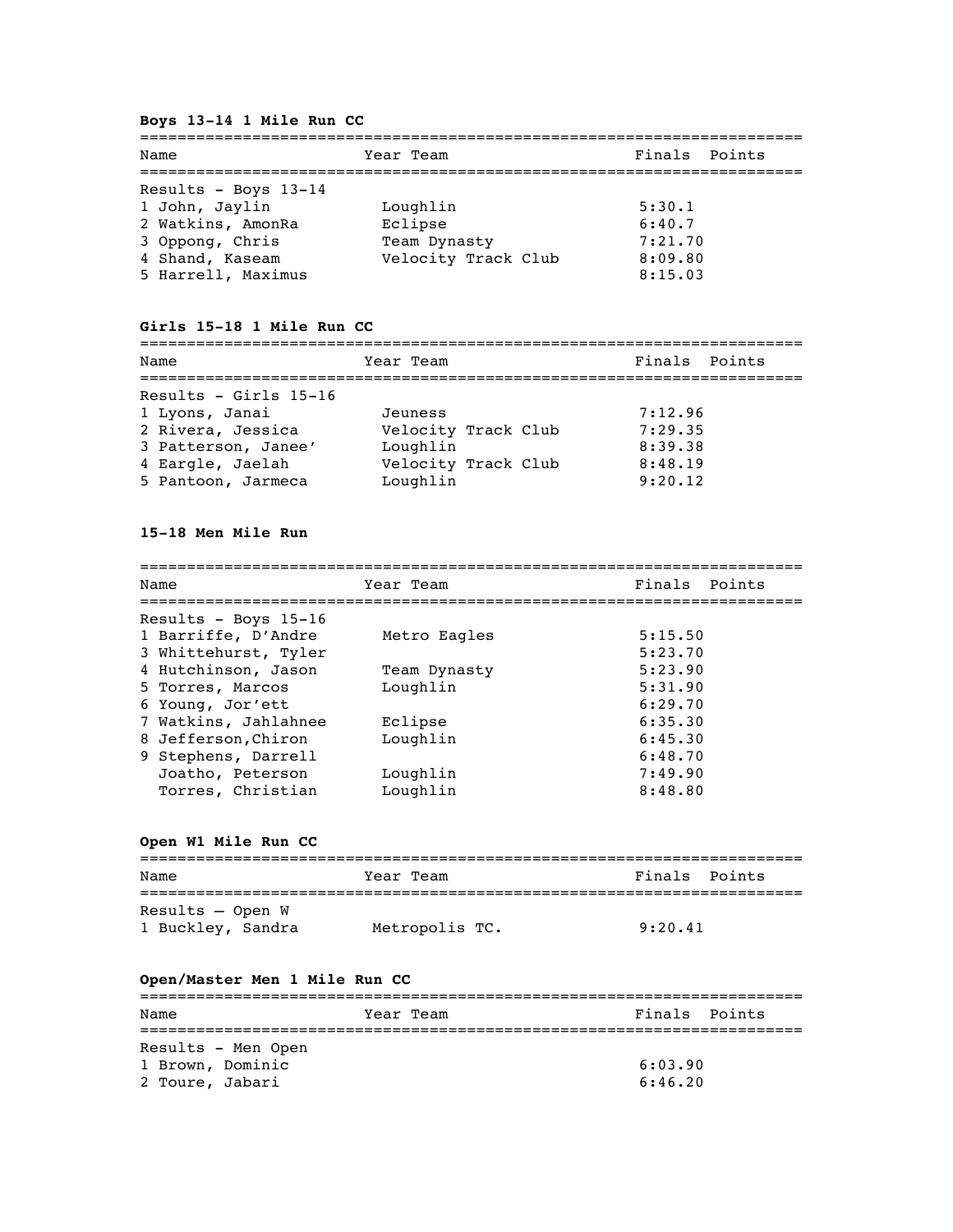## **Boys 13-14 1 Mile Run CC**

| Name                                                        | Year Team                           | Finals Points                 |  |
|-------------------------------------------------------------|-------------------------------------|-------------------------------|--|
| Results - Boys 13-14<br>1 John, Jaylin<br>2 Watkins, AmonRa | Loughlin<br>Eclipse                 | 5:30.1<br>6:40.7              |  |
| 3 Oppong, Chris<br>4 Shand, Kaseam<br>5 Harrell, Maximus    | Team Dynasty<br>Velocity Track Club | 7:21.70<br>8:09.80<br>8:15.03 |  |

## **Girls 15-18 1 Mile Run CC**

| Name                                                                                  | Year Team                                  | Finals Points                 |
|---------------------------------------------------------------------------------------|--------------------------------------------|-------------------------------|
| Results - Girls $15-16$<br>1 Lyons, Janai<br>2 Rivera, Jessica<br>3 Patterson, Janee' | Jeuness<br>Velocity Track Club<br>Loughlin | 7:12.96<br>7:29.35<br>8:39.38 |
| 4 Eargle, Jaelah<br>5 Pantoon, Jarmeca                                                | Velocity Track Club<br>Loughlin            | 8:48.19<br>9:20.12            |

### **15-18 Men Mile Run**

| Name                   | Year Team    | Finals Points |
|------------------------|--------------|---------------|
| Results - Boys $15-16$ |              |               |
| 1 Barriffe, D'Andre    | Metro Eagles | 5:15.50       |
| 3 Whittehurst, Tyler   |              | 5:23.70       |
| 4 Hutchinson, Jason    | Team Dynasty | 5:23.90       |
| 5 Torres, Marcos       | Loughlin     | 5:31.90       |
| 6 Young, Jor'ett       |              | 6:29.70       |
| 7 Watkins, Jahlahnee   | Eclipse      | 6:35.30       |
| 8 Jefferson, Chiron    | Loughlin     | 6:45.30       |
| 9 Stephens, Darrell    |              | 6:48.70       |
| Joatho, Peterson       | Loughlin     | 7:49.90       |
| Torres, Christian      | Loughlin     | 8:48.80       |

## **Open W1 Mile Run CC**

| Name                                    | Year Team      | Finals Points |
|-----------------------------------------|----------------|---------------|
| $Results - Open W$<br>1 Buckley, Sandra | Metropolis TC. | 9:20.41       |

## **Open/Master Men 1 Mile Run CC**

| Name               | Year Team | Finals Points |  |  |
|--------------------|-----------|---------------|--|--|
|                    |           |               |  |  |
| Results - Men Open |           |               |  |  |
| 1 Brown, Dominic   |           | 6:03.90       |  |  |
| 2 Toure, Jabari    |           | 6:46.20       |  |  |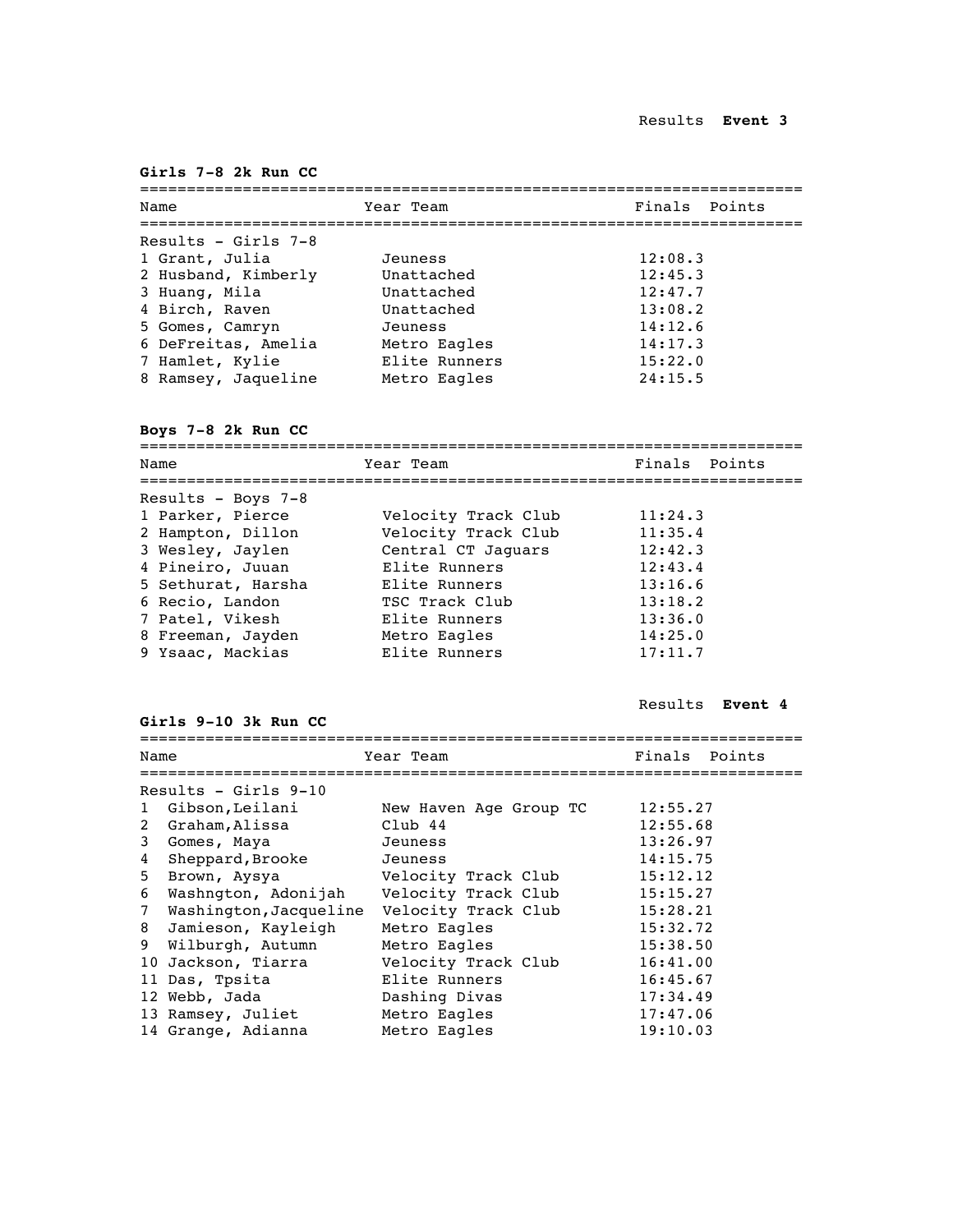### **Girls 7-8 2k Run CC**

| Year Team     | Finals Points |
|---------------|---------------|
|               |               |
| Jeuness       | 12:08.3       |
| Unattached    | 12:45.3       |
| Unattached    | 12:47.7       |
| Unattached    | 13:08.2       |
| Jeuness       | 14:12.6       |
| Metro Eagles  | 14:17.3       |
| Elite Runners | 15:22.0       |
| Metro Eagles  | 24:15.5       |
|               |               |

**Boys 7-8 2k Run CC**

| Year Team           | Finals Points |
|---------------------|---------------|
|                     |               |
| Velocity Track Club | 11:24.3       |
| Velocity Track Club | 11:35.4       |
| Central CT Jaquars  | 12:42.3       |
| Elite Runners       | 12:43.4       |
| Elite Runners       | 13:16.6       |
| TSC Track Club      | 13:18.2       |
| Elite Runners       | 13:36.0       |
| Metro Eagles        | 14:25.0       |
| Elite Runners       | 17:11.7       |
|                     |               |

Results **Event 4**

**Girls 9-10 3k Run CC**

======================================================================= Finals Point

| Name         |                        | Year Team              | Finals<br>Points |  |  |
|--------------|------------------------|------------------------|------------------|--|--|
|              |                        |                        |                  |  |  |
|              | Results - Girls $9-10$ |                        |                  |  |  |
| $\mathbf{1}$ | Gibson,Leilani         | New Haven Age Group TC | 12:55.27         |  |  |
| $\mathbf{2}$ | Graham, Alissa         | Club 44                | 12:55.68         |  |  |
| 3            | Gomes, Maya            | Jeuness                | 13:26.97         |  |  |
| 4            | Sheppard, Brooke       | Jeuness                | 14:15.75         |  |  |
| 5            | Brown, Aysya           | Velocity Track Club    | 15:12.12         |  |  |
| 6            | Washngton, Adonijah    | Velocity Track Club    | 15:15.27         |  |  |
| $7^{\circ}$  | Washington, Jacqueline | Velocity Track Club    | 15:28.21         |  |  |
| 8            | Jamieson, Kayleigh     | Metro Eagles           | 15:32.72         |  |  |
| 9            | Wilburgh, Autumn       | Metro Eagles           | 15:38.50         |  |  |
|              | 10 Jackson, Tiarra     | Velocity Track Club    | 16:41.00         |  |  |
|              | 11 Das, Tpsita         | Elite Runners          | 16:45.67         |  |  |
|              | 12 Webb, Jada          | Dashing Divas          | 17:34.49         |  |  |
|              | 13 Ramsey, Juliet      | Metro Eagles           | 17:47.06         |  |  |
|              | 14 Grange, Adianna     | Metro Eagles           | 19:10.03         |  |  |
|              |                        |                        |                  |  |  |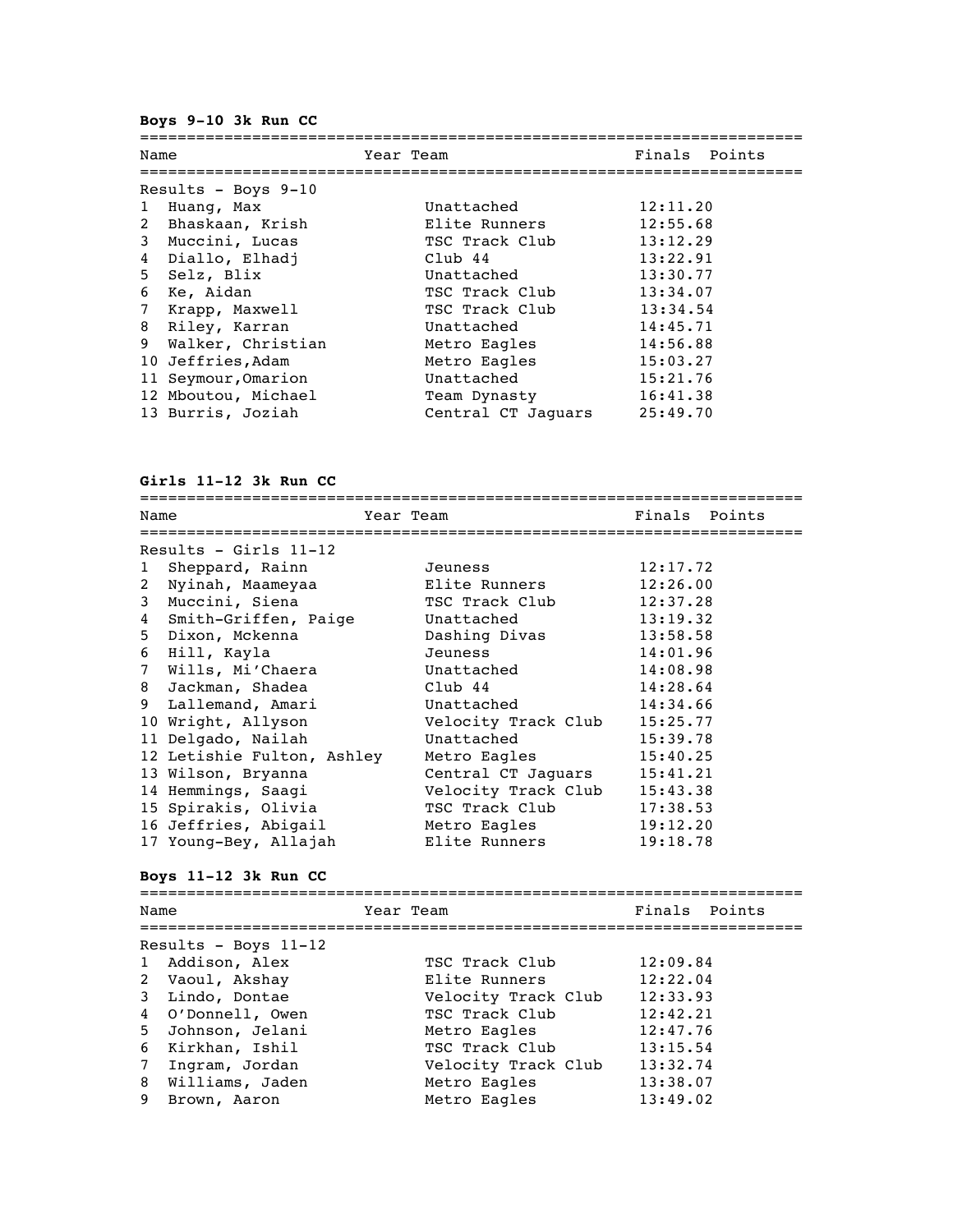**Boys 9-10 3k Run CC**

| Huang, Max |                                                                                                                                                                                                                                                                                 | Unattached         |           |  |                                                                                                                                                                           |
|------------|---------------------------------------------------------------------------------------------------------------------------------------------------------------------------------------------------------------------------------------------------------------------------------|--------------------|-----------|--|---------------------------------------------------------------------------------------------------------------------------------------------------------------------------|
|            |                                                                                                                                                                                                                                                                                 | Elite Runners      |           |  |                                                                                                                                                                           |
|            |                                                                                                                                                                                                                                                                                 | TSC Track Club     |           |  |                                                                                                                                                                           |
|            |                                                                                                                                                                                                                                                                                 | $Club$ 44          |           |  |                                                                                                                                                                           |
|            |                                                                                                                                                                                                                                                                                 | Unattached         |           |  |                                                                                                                                                                           |
|            |                                                                                                                                                                                                                                                                                 | TSC Track Club     |           |  |                                                                                                                                                                           |
|            |                                                                                                                                                                                                                                                                                 | TSC Track Club     |           |  |                                                                                                                                                                           |
|            |                                                                                                                                                                                                                                                                                 | Unattached         |           |  |                                                                                                                                                                           |
|            |                                                                                                                                                                                                                                                                                 | Metro Eagles       |           |  |                                                                                                                                                                           |
|            |                                                                                                                                                                                                                                                                                 | Metro Eagles       |           |  |                                                                                                                                                                           |
|            |                                                                                                                                                                                                                                                                                 | Unattached         |           |  |                                                                                                                                                                           |
|            |                                                                                                                                                                                                                                                                                 | Team Dynasty       |           |  |                                                                                                                                                                           |
|            |                                                                                                                                                                                                                                                                                 | Central CT Jaquars |           |  |                                                                                                                                                                           |
|            | Name<br>Results - Boys $9-10$<br>2 Bhaskaan, Krish<br>3 Muccini, Lucas<br>4 Diallo, Elhadj<br>5 Selz, Blix<br>6 Ke, Aidan<br>7 Krapp, Maxwell<br>8 Riley, Karran<br>9 Walker, Christian<br>10 Jeffries, Adam<br>11 Seymour, Omarion<br>12 Mboutou, Michael<br>13 Burris, Joziah |                    | Year Team |  | Finals Points<br>12:11.20<br>12:55.68<br>13:12.29<br>13:22.91<br>13:30.77<br>13:34.07<br>13:34.54<br>14:45.71<br>14:56.88<br>15:03.27<br>15:21.76<br>16:41.38<br>25:49.70 |

**Girls 11-12 3k Run CC**

| Name         |                            | Year Team           | Finals Points |  |
|--------------|----------------------------|---------------------|---------------|--|
|              | ======================     |                     |               |  |
|              | Results - Girls $11-12$    |                     |               |  |
| $\mathbf{1}$ | Sheppard, Rainn            | Jeuness             | 12:17.72      |  |
| $\mathbf{2}$ | Nyinah, Maameyaa           | Elite Runners       | 12:26.00      |  |
| 3            | Muccini, Siena             | TSC Track Club      | 12:37.28      |  |
| 4            | Smith-Griffen, Paige       | Unattached          | 13:19.32      |  |
|              | 5 Dixon, Mckenna           | Dashing Divas       | 13:58.58      |  |
|              | 6 Hill, Kayla              | Jeuness             | 14:01.96      |  |
|              | 7 Wills, Mi'Chaera         | Unattached          | 14:08.98      |  |
| 8            | Jackman, Shadea            | Club 44             | 14:28.64      |  |
| 9            | Lallemand, Amari           | Unattached          | 14:34.66      |  |
|              | 10 Wright, Allyson         | Velocity Track Club | 15:25.77      |  |
|              | 11 Delgado, Nailah         | Unattached          | 15:39.78      |  |
|              | 12 Letishie Fulton, Ashley | Metro Eagles        | 15:40.25      |  |
|              | 13 Wilson, Bryanna         | Central CT Jaquars  | 15:41.21      |  |
|              | 14 Hemmings, Saagi         | Velocity Track Club | 15:43.38      |  |
|              | 15 Spirakis, Olivia        | TSC Track Club      | 17:38.53      |  |
|              | 16 Jeffries, Abigail       | Metro Eagles        | 19:12.20      |  |
| 17           | Young-Bey, Allajah         | Elite Runners       | 19:18.78      |  |

## **Boys 11-12 3k Run CC**

| Name |                      | Year Team |                     | Finals Points |  |  |
|------|----------------------|-----------|---------------------|---------------|--|--|
|      | Results - Boys 11-12 |           |                     |               |  |  |
|      | 1 Addison, Alex      |           | TSC Track Club      | 12:09.84      |  |  |
|      | 2 Vaoul, Akshay      |           | Elite Runners       | 12:22.04      |  |  |
|      | 3 Lindo, Dontae      |           | Velocity Track Club | 12:33.93      |  |  |
|      | 4 O'Donnell, Owen    |           | TSC Track Club      | 12:42.21      |  |  |
|      | 5 Johnson, Jelani    |           | Metro Eagles        | 12:47.76      |  |  |
|      | 6 Kirkhan, Ishil     |           | TSC Track Club      | 13:15.54      |  |  |
|      | 7 Ingram, Jordan     |           | Velocity Track Club | 13:32.74      |  |  |
|      | 8 Williams, Jaden    |           | Metro Eagles        | 13:38.07      |  |  |
|      | 9 Brown, Aaron       |           | Metro Eagles        | 13:49.02      |  |  |
|      |                      |           |                     |               |  |  |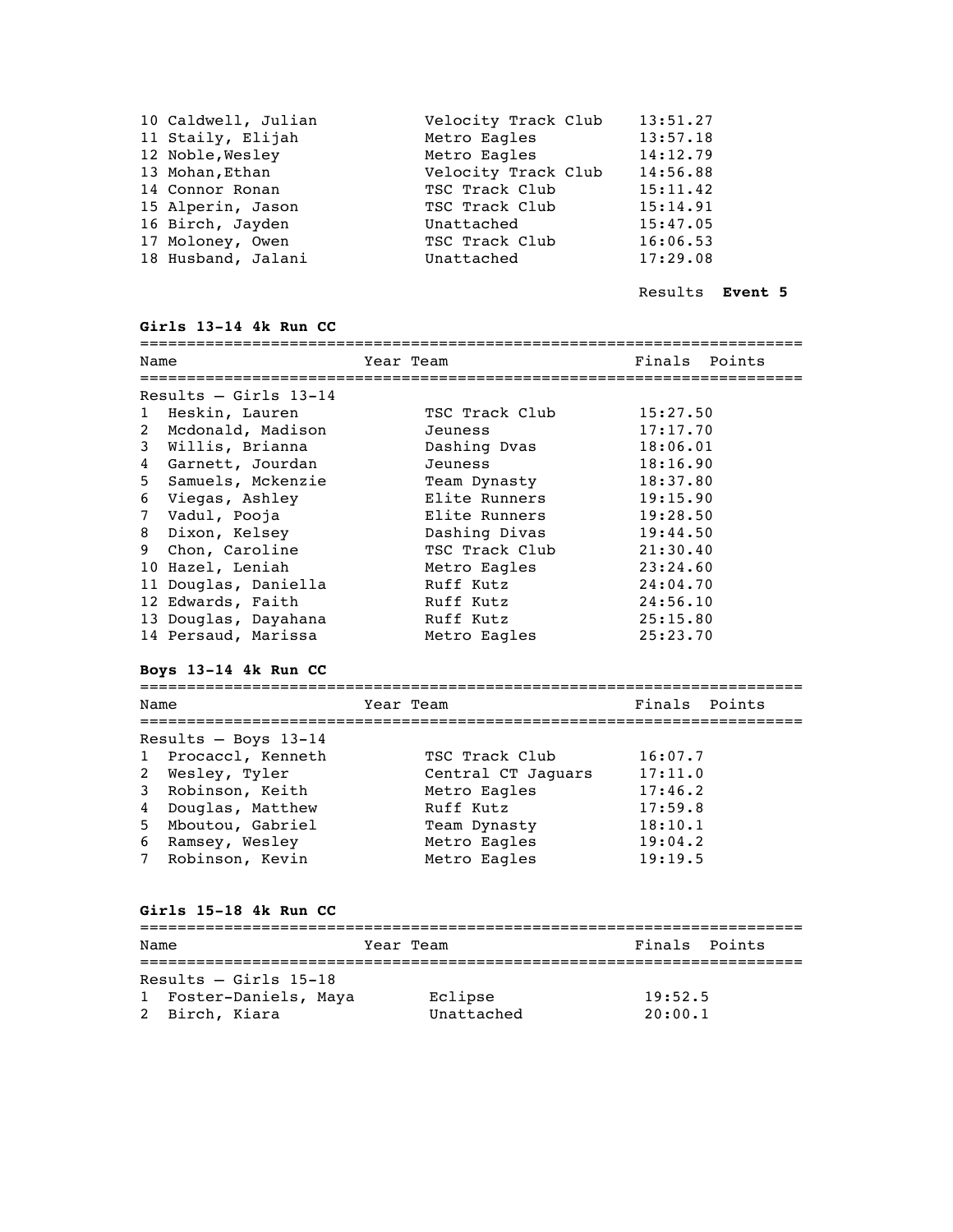| 10 Caldwell, Julian | Velocity Track Club | 13:51.27 |
|---------------------|---------------------|----------|
| 11 Staily, Elijah   | Metro Eagles        | 13:57.18 |
| 12 Noble, Wesley    | Metro Eagles        | 14:12.79 |
| 13 Mohan, Ethan     | Velocity Track Club | 14:56.88 |
| 14 Connor Ronan     | TSC Track Club      | 15:11.42 |
| 15 Alperin, Jason   | TSC Track Club      | 15:14.91 |
| 16 Birch, Jayden    | Unattached          | 15:47.05 |
| 17 Moloney, Owen    | TSC Track Club      | 16:06.53 |
| 18 Husband, Jalani  | Unattached          | 17:29.08 |
|                     |                     |          |

Results **Event 5**

### **Girls 13-14 4k Run CC**

| Name |                         | Year Team      | Finals Points |  |  |
|------|-------------------------|----------------|---------------|--|--|
|      |                         |                |               |  |  |
|      | Results $-$ Girls 13-14 |                |               |  |  |
|      | 1 Heskin, Lauren        | TSC Track Club | 15:27.50      |  |  |
|      | 2 Mcdonald, Madison     | Jeuness        | 17:17.70      |  |  |
|      | 3 Willis, Brianna       | Dashing Dvas   | 18:06.01      |  |  |
|      | 4 Garnett, Jourdan      | Jeuness        | 18:16.90      |  |  |
|      | 5 Samuels, Mckenzie     | Team Dynasty   | 18:37.80      |  |  |
|      | 6 Viegas, Ashley        | Elite Runners  | 19:15.90      |  |  |
|      | 7 Vadul, Pooja          | Elite Runners  | 19:28.50      |  |  |
|      | 8 Dixon, Kelsey         | Dashing Divas  | 19:44.50      |  |  |
|      | 9 Chon, Caroline        | TSC Track Club | 21:30.40      |  |  |
|      | 10 Hazel, Leniah        | Metro Eagles   | 23:24.60      |  |  |
|      | 11 Douglas, Daniella    | Ruff Kutz      | 24:04.70      |  |  |
|      | 12 Edwards, Faith       | Ruff Kutz      | 24:56.10      |  |  |
|      | 13 Douglas, Dayahana    | Ruff Kutz      | 25:15.80      |  |  |
|      | 14 Persaud, Marissa     | Metro Eagles   | 25:23.70      |  |  |

#### **Boys 13-14 4k Run CC**

======================================================================= Name Team Team Finals Points ======================================================================= Results – Boys 13-14 1 Procaccl, Kenneth TSC Track Club 16:07.7 2 Wesley, Tyler **Central CT Jaguars** 17:11.0 3 Robinson, Keith Metro Eagles 17:46.2 4 Douglas, Matthew Ruff Kutz 17:59.8 5 Mboutou, Gabriel Team Dynasty 18:10.1 6 Ramsey, Wesley Metro Eagles 19:04.2 7 Robinson, Kevin Metro Eagles 19:19.5

#### **Girls 15-18 4k Run CC**

| Name                    | Year Team  | Finals Points |  |  |  |
|-------------------------|------------|---------------|--|--|--|
|                         |            |               |  |  |  |
| Results $-$ Girls 15-18 |            |               |  |  |  |
| 1 Foster-Daniels, Maya  | Eclipse    | 19:52.5       |  |  |  |
| 2 Birch, Kiara          | Unattached | 20:00.1       |  |  |  |